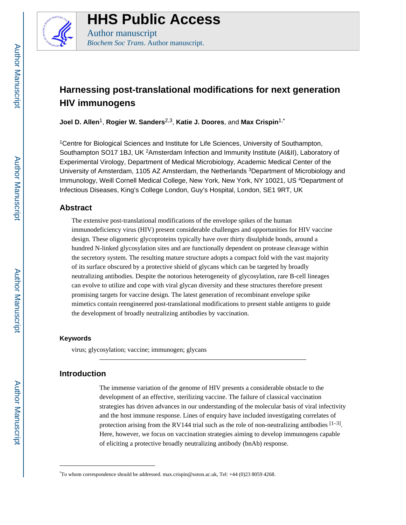

# **HHS Public Access** Author manuscript

*Biochem Soc Trans*. Author manuscript.

# **Harnessing post-translational modifications for next generation HIV immunogens**

**Joel D. Allen**1, **Rogier W. Sanders**2,3, **Katie J. Doores**, and **Max Crispin**1,\*

<sup>1</sup>Centre for Biological Sciences and Institute for Life Sciences, University of Southampton, Southampton SO17 1BJ, UK<sup>2</sup>Amsterdam Infection and Immunity Institute (AI&II), Laboratory of Experimental Virology, Department of Medical Microbiology, Academic Medical Center of the University of Amsterdam, 1105 AZ Amsterdam, the Netherlands <sup>3</sup>Department of Microbiology and Immunology, Weill Cornell Medical College, New York, New York, NY 10021, US <sup>4</sup>Department of Infectious Diseases, King's College London, Guy's Hospital, London, SE1 9RT, UK

## **Abstract**

The extensive post-translational modifications of the envelope spikes of the human immunodeficiency virus (HIV) present considerable challenges and opportunities for HIV vaccine design. These oligomeric glycoproteins typically have over thirty disulphide bonds, around a hundred N-linked glycosylation sites and are functionally dependent on protease cleavage within the secretory system. The resulting mature structure adopts a compact fold with the vast majority of its surface obscured by a protective shield of glycans which can be targeted by broadly neutralizing antibodies. Despite the notorious heterogeneity of glycosylation, rare B-cell lineages can evolve to utilize and cope with viral glycan diversity and these structures therefore present promising targets for vaccine design. The latest generation of recombinant envelope spike mimetics contain reengineered post-translational modifications to present stable antigens to guide the development of broadly neutralizing antibodies by vaccination.

## **Keywords**

virus; glycosylation; vaccine; immunogen; glycans

## **Introduction**

The immense variation of the genome of HIV presents a considerable obstacle to the development of an effective, sterilizing vaccine. The failure of classical vaccination strategies has driven advances in our understanding of the molecular basis of viral infectivity and the host immune response. Lines of enquiry have included investigating correlates of protection arising from the RV144 trial such as the role of non-neutralizing antibodies  $[1-3]$ . Here, however, we focus on vaccination strategies aiming to develop immunogens capable of eliciting a protective broadly neutralizing antibody (bnAb) response.

<sup>\*</sup>To whom correspondence should be addressed. max.crispin@soton.ac.uk, Tel: +44 (0)23 8059 4268.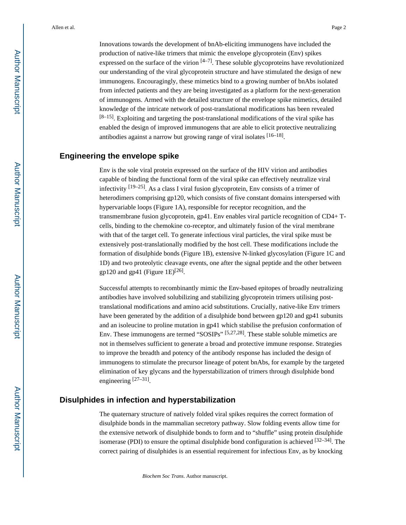Innovations towards the development of bnAb-eliciting immunogens have included the production of native-like trimers that mimic the envelope glycoprotein (Env) spikes expressed on the surface of the virion  $[4-7]$ . These soluble glycoproteins have revolutionized our understanding of the viral glycoprotein structure and have stimulated the design of new immunogens. Encouragingly, these mimetics bind to a growing number of bnAbs isolated from infected patients and they are being investigated as a platform for the next-generation of immunogens. Armed with the detailed structure of the envelope spike mimetics, detailed knowledge of the intricate network of post-translational modifications has been revealed  $[8-15]$ . Exploiting and targeting the post-translational modifications of the viral spike has enabled the design of improved immunogens that are able to elicit protective neutralizing antibodies against a narrow but growing range of viral isolates  $[16-18]$ .

### **Engineering the envelope spike**

Env is the sole viral protein expressed on the surface of the HIV virion and antibodies capable of binding the functional form of the viral spike can effectively neutralize viral infectivity  $[19-25]$ . As a class I viral fusion glycoprotein, Env consists of a trimer of heterodimers comprising gp120, which consists of five constant domains interspersed with hypervariable loops (Figure 1A), responsible for receptor recognition, and the transmembrane fusion glycoprotein, gp41. Env enables viral particle recognition of CD4+ Tcells, binding to the chemokine co-receptor, and ultimately fusion of the viral membrane with that of the target cell. To generate infectious viral particles, the viral spike must be extensively post-translationally modified by the host cell. These modifications include the formation of disulphide bonds (Figure 1B), extensive N-linked glycosylation (Figure 1C and 1D) and two proteolytic cleavage events, one after the signal peptide and the other between gp120 and gp41 (Figure 1E)<sup>[26]</sup>.

Successful attempts to recombinantly mimic the Env-based epitopes of broadly neutralizing antibodies have involved solubilizing and stabilizing glycoprotein trimers utilising posttranslational modifications and amino acid substitutions. Crucially, native-like Env trimers have been generated by the addition of a disulphide bond between gp120 and gp41 subunits and an isoleucine to proline mutation in gp41 which stabilise the prefusion conformation of Env. These immunogens are termed "SOSIPs" [5,27,28]. These stable soluble mimetics are not in themselves sufficient to generate a broad and protective immune response. Strategies to improve the breadth and potency of the antibody response has included the design of immunogens to stimulate the precursor lineage of potent bnAbs, for example by the targeted elimination of key glycans and the hyperstabilization of trimers through disulphide bond engineering [27-31].

### **Disulphides in infection and hyperstabilization**

The quaternary structure of natively folded viral spikes requires the correct formation of disulphide bonds in the mammalian secretory pathway. Slow folding events allow time for the extensive network of disulphide bonds to form and to "shuffle" using protein disulphide isomerase (PDI) to ensure the optimal disulphide bond configuration is achieved  $[32-34]$ . The correct pairing of disulphides is an essential requirement for infectious Env, as by knocking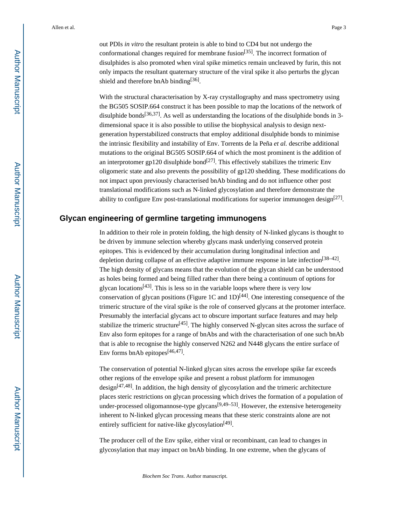out PDIs *in vitro* the resultant protein is able to bind to CD4 but not undergo the conformational changes required for membrane fusion<sup>[35]</sup>. The incorrect formation of disulphides is also promoted when viral spike mimetics remain uncleaved by furin, this not only impacts the resultant quaternary structure of the viral spike it also perturbs the glycan shield and therefore bnAb binding<sup>[36]</sup>.

With the structural characterisation by X-ray crystallography and mass spectrometry using the BG505 SOSIP.664 construct it has been possible to map the locations of the network of disulphide bonds<sup>[36,37]</sup>. As well as understanding the locations of the disulphide bonds in 3dimensional space it is also possible to utilise the biophysical analysis to design nextgeneration hyperstabilized constructs that employ additional disulphide bonds to minimise the intrinsic flexibility and instability of Env. Torrents de la Peña *et al.* describe additional mutations to the original BG505 SOSIP.664 of which the most prominent is the addition of an interprotomer gp120 disulphide bond<sup>[27]</sup>. This effectively stabilizes the trimeric Env oligomeric state and also prevents the possibility of gp120 shedding. These modifications do not impact upon previously characterised bnAb binding and do not influence other post translational modifications such as N-linked glycosylation and therefore demonstrate the ability to configure Env post-translational modifications for superior immunogen design<sup>[27]</sup>.

## **Glycan engineering of germline targeting immunogens**

In addition to their role in protein folding, the high density of N-linked glycans is thought to be driven by immune selection whereby glycans mask underlying conserved protein epitopes. This is evidenced by their accumulation during longitudinal infection and depletion during collapse of an effective adaptive immune response in late infection<sup>[38–42]</sup>. The high density of glycans means that the evolution of the glycan shield can be understood as holes being formed and being filled rather than there being a continuum of options for glycan locations<sup>[43]</sup>. This is less so in the variable loops where there is very low conservation of glycan positions (Figure 1C and 1D)<sup>[44]</sup>. One interesting consequence of the trimeric structure of the viral spike is the role of conserved glycans at the protomer interface. Presumably the interfacial glycans act to obscure important surface features and may help stabilize the trimeric structure<sup>[45]</sup>. The highly conserved N-glycan sites across the surface of Env also form epitopes for a range of bnAbs and with the characterisation of one such bnAb that is able to recognise the highly conserved N262 and N448 glycans the entire surface of Env forms bnAb epitopes<sup>[46,47]</sup>.

The conservation of potential N-linked glycan sites across the envelope spike far exceeds other regions of the envelope spike and present a robust platform for immunogen  $\text{design}^{[47,48]}$ . In addition, the high density of glycosylation and the trimeric architecture places steric restrictions on glycan processing which drives the formation of a population of under-processed oligomannose-type glycans<sup>[9,49–53]</sup>. However, the extensive heterogeneity inherent to N-linked glycan processing means that these steric constraints alone are not entirely sufficient for native-like glycosylation<sup>[49]</sup>.

The producer cell of the Env spike, either viral or recombinant, can lead to changes in glycosylation that may impact on bnAb binding. In one extreme, when the glycans of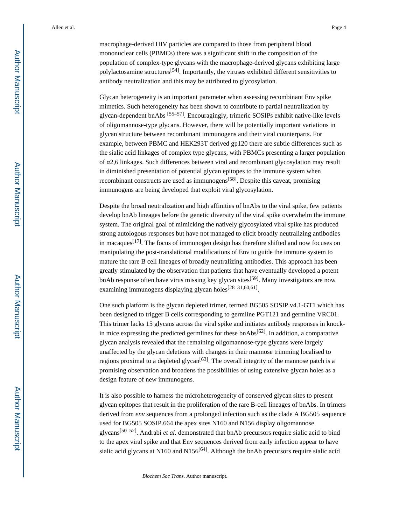macrophage-derived HIV particles are compared to those from peripheral blood mononuclear cells (PBMCs) there was a significant shift in the composition of the population of complex-type glycans with the macrophage-derived glycans exhibiting large polylactosamine structures<sup>[54]</sup>. Importantly, the viruses exhibited different sensitivities to antibody neutralization and this may be attributed to glycosylation.

Glycan heterogeneity is an important parameter when assessing recombinant Env spike mimetics. Such heterogeneity has been shown to contribute to partial neutralization by glycan-dependent bnAbs [55–57]. Encouragingly, trimeric SOSIPs exhibit native-like levels of oligomannose-type glycans. However, there will be potentially important variations in glycan structure between recombinant immunogens and their viral counterparts. For example, between PBMC and HEK293T derived gp120 there are subtle differences such as the sialic acid linkages of complex type glycans, with PBMCs presenting a larger population of α2,6 linkages. Such differences between viral and recombinant glycosylation may result in diminished presentation of potential glycan epitopes to the immune system when recombinant constructs are used as immunogens[58]. Despite this caveat, promising immunogens are being developed that exploit viral glycosylation.

Despite the broad neutralization and high affinities of bnAbs to the viral spike, few patients develop bnAb lineages before the genetic diversity of the viral spike overwhelm the immune system. The original goal of mimicking the natively glycosylated viral spike has produced strong autologous responses but have not managed to elicit broadly neutralizing antibodies in macaques<sup>[17]</sup>. The focus of immunogen design has therefore shifted and now focuses on manipulating the post-translational modifications of Env to guide the immune system to mature the rare B cell lineages of broadly neutralizing antibodies. This approach has been greatly stimulated by the observation that patients that have eventually developed a potent bnAb response often have virus missing key glycan sites<sup>[59]</sup>. Many investigators are now examining immunogens displaying glycan holes<sup>[28–31,60,61]</sup>.

One such platform is the glycan depleted trimer, termed BG505 SOSIP.v4.1-GT1 which has been designed to trigger B cells corresponding to germline PGT121 and germline VRC01. This trimer lacks 15 glycans across the viral spike and initiates antibody responses in knockin mice expressing the predicted germlines for these bnAbs $[62]$ . In addition, a comparative glycan analysis revealed that the remaining oligomannose-type glycans were largely unaffected by the glycan deletions with changes in their mannose trimming localised to regions proximal to a depleted glycan<sup>[63]</sup>. The overall integrity of the mannose patch is a promising observation and broadens the possibilities of using extensive glycan holes as a design feature of new immunogens.

It is also possible to harness the microheterogeneity of conserved glycan sites to present glycan epitopes that result in the proliferation of the rare B-cell lineages of bnAbs. In trimers derived from *env* sequences from a prolonged infection such as the clade A BG505 sequence used for BG505 SOSIP.664 the apex sites N160 and N156 display oligomannose glycans[50–52]. Andrabi *et al.* demonstrated that bnAb precursors require sialic acid to bind to the apex viral spike and that Env sequences derived from early infection appear to have sialic acid glycans at N160 and N156<sup>[64]</sup>. Although the bnAb precursors require sialic acid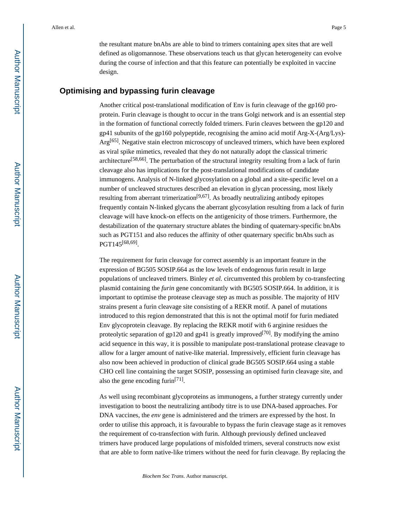the resultant mature bnAbs are able to bind to trimers containing apex sites that are well defined as oligomannose. These observations teach us that glycan heterogeneity can evolve during the course of infection and that this feature can potentially be exploited in vaccine design.

## **Optimising and bypassing furin cleavage**

Another critical post-translational modification of Env is furin cleavage of the gp160 proprotein. Furin cleavage is thought to occur in the trans Golgi network and is an essential step in the formation of functional correctly folded trimers. Furin cleaves between the gp120 and gp41 subunits of the gp160 polypeptide, recognising the amino acid motif Arg-X-(Arg/Lys)- Arg<sup>[65]</sup>. Negative stain electron microscopy of uncleaved trimers, which have been explored as viral spike mimetics, revealed that they do not naturally adopt the classical trimeric architecture[58,66]. The perturbation of the structural integrity resulting from a lack of furin cleavage also has implications for the post-translational modifications of candidate immunogens. Analysis of N-linked glycosylation on a global and a site-specific level on a number of uncleaved structures described an elevation in glycan processing, most likely resulting from aberrant trimerization<sup>[9,67]</sup>. As broadly neutralizing antibody epitopes frequently contain N-linked glycans the aberrant glycosylation resulting from a lack of furin cleavage will have knock-on effects on the antigenicity of those trimers. Furthermore, the destabilization of the quaternary structure ablates the binding of quaternary-specific bnAbs such as PGT151 and also reduces the affinity of other quaternary specific bnAbs such as PGT145[68,69] .

The requirement for furin cleavage for correct assembly is an important feature in the expression of BG505 SOSIP.664 as the low levels of endogenous furin result in large populations of uncleaved trimers. Binley *et al.* circumvented this problem by co-transfecting plasmid containing the *furin* gene concomitantly with BG505 SOSIP.664. In addition, it is important to optimise the protease cleavage step as much as possible. The majority of HIV strains present a furin cleavage site consisting of a REKR motif. A panel of mutations introduced to this region demonstrated that this is not the optimal motif for furin mediated Env glycoprotein cleavage. By replacing the REKR motif with 6 arginine residues the proteolytic separation of gp120 and gp41 is greatly improved<sup>[70]</sup>. By modifying the amino acid sequence in this way, it is possible to manipulate post-translational protease cleavage to allow for a larger amount of native-like material. Impressively, efficient furin cleavage has also now been achieved in production of clinical grade BG505 SOSIP.664 using a stable CHO cell line containing the target SOSIP, possessing an optimised furin cleavage site, and also the gene encoding furin<sup>[71]</sup>.

As well using recombinant glycoproteins as immunogens, a further strategy currently under investigation to boost the neutralizing antibody titre is to use DNA-based approaches. For DNA vaccines, the *env* gene is administered and the trimers are expressed by the host. In order to utilise this approach, it is favourable to bypass the furin cleavage stage as it removes the requirement of co-transfection with furin. Although previously defined uncleaved trimers have produced large populations of misfolded trimers, several constructs now exist that are able to form native-like trimers without the need for furin cleavage. By replacing the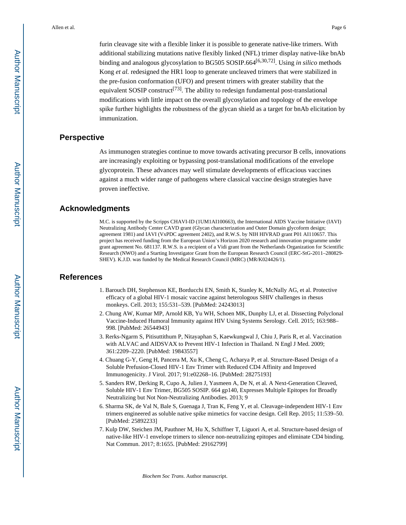furin cleavage site with a flexible linker it is possible to generate native-like trimers. With additional stabilizing mutations native flexibly linked (NFL) trimer display native-like bnAb binding and analogous glycosylation to BG505 SOSIP.664[6,30,72]. Using *in silico* methods Kong *et al.* redesigned the HR1 loop to generate uncleaved trimers that were stabilized in the pre-fusion conformation (UFO) and present trimers with greater stability that the equivalent SOSIP construct<sup>[73]</sup>. The ability to redesign fundamental post-translational modifications with little impact on the overall glycosylation and topology of the envelope spike further highlights the robustness of the glycan shield as a target for bnAb elicitation by immunization.

## **Perspective**

As immunogen strategies continue to move towards activating precursor B cells, innovations are increasingly exploiting or bypassing post-translational modifications of the envelope glycoprotein. These advances may well stimulate developments of efficacious vaccines against a much wider range of pathogens where classical vaccine design strategies have proven ineffective.

## **Acknowledgments**

M.C. is supported by the Scripps CHAVI-ID (1UM1AI100663), the International AIDS Vaccine Initiative (IAVI) Neutralizing Antibody Center CAVD grant (Glycan characterization and Outer Domain glycoform design; agreement 1981) and IAVI (VxPDC agreement 2402), and R.W.S. by NIH HIVRAD grant P01 AI110657. This project has received funding from the European Union's Horizon 2020 research and innovation programme under grant agreement No. 681137. R.W.S. is a recipient of a Vidi grant from the Netherlands Organization for Scientific Research (NWO) and a Starting Investigator Grant from the European Research Council (ERC-StG-2011–280829- SHEV). K.J.D. was funded by the Medical Research Council (MRC) (MR/K024426/1).

### **References**

- 1. Barouch DH, Stephenson KE, Borducchi EN, Smith K, Stanley K, McNally AG, et al. Protective efficacy of a global HIV-1 mosaic vaccine against heterologous SHIV challenges in rhesus monkeys. Cell. 2013; 155:531–539. [PubMed: 24243013]
- 2. Chung AW, Kumar MP, Arnold KB, Yu WH, Schoen MK, Dunphy LJ, et al. Dissecting Polyclonal Vaccine-Induced Humoral Immunity against HIV Using Systems Serology. Cell. 2015; 163:988– 998. [PubMed: 26544943]
- 3. Rerks-Ngarm S, Pitisuttithum P, Nitayaphan S, Kaewkungwal J, Chiu J, Paris R, et al. Vaccination with ALVAC and AIDSVAX to Prevent HIV-1 Infection in Thailand. N Engl J Med. 2009; 361:2209–2220. [PubMed: 19843557]
- 4. Chuang G-Y, Geng H, Pancera M, Xu K, Cheng C, Acharya P, et al. Structure-Based Design of a Soluble Prefusion-Closed HIV-1 Env Trimer with Reduced CD4 Affinity and Improved Immunogenicity. J Virol. 2017; 91:e02268–16. [PubMed: 28275193]
- 5. Sanders RW, Derking R, Cupo A, Julien J, Yasmeen A, De N, et al. A Next-Generation Cleaved, Soluble HIV-1 Env Trimer, BG505 SOSIP. 664 gp140, Expresses Multiple Epitopes for Broadly Neutralizing but Not Non-Neutralizing Antibodies. 2013; 9
- 6. Sharma SK, de Val N, Bale S, Guenaga J, Tran K, Feng Y, et al. Cleavage-independent HIV-1 Env trimers engineered as soluble native spike mimetics for vaccine design. Cell Rep. 2015; 11:539–50. [PubMed: 25892233]
- 7. Kulp DW, Steichen JM, Pauthner M, Hu X, Schiffner T, Liguori A, et al. Structure-based design of native-like HIV-1 envelope trimers to silence non-neutralizing epitopes and eliminate CD4 binding. Nat Commun. 2017; 8:1655. [PubMed: 29162799]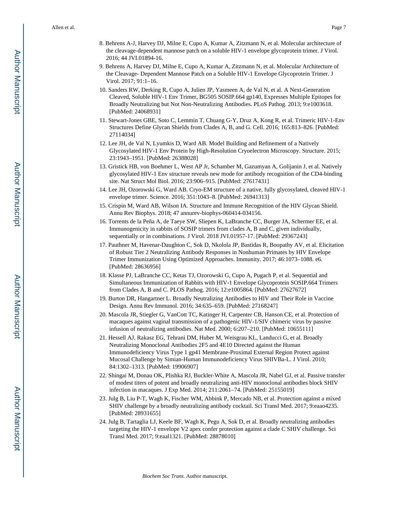- 8. Behrens A-J, Harvey DJ, Milne E, Cupo A, Kumar A, Zitzmann N, et al. Molecular architecture of the cleavage-dependent mannose patch on a soluble HIV-1 envelope glycoprotein trimer. J Virol. 2016; 44 JVI.01894-16.
- 9. Behrens A, Harvey DJ, Milne E, Cupo A, Kumar A, Zitzmann N, et al. Molecular Architecture of the Cleavage- Dependent Mannose Patch on a Soluble HIV-1 Envelope Glycoprotein Trimer. J Virol. 2017; 91:1–16.
- 10. Sanders RW, Derking R, Cupo A, Julien JP, Yasmeen A, de Val N, et al. A Next-Generation Cleaved, Soluble HIV-1 Env Trimer, BG505 SOSIP.664 gp140, Expresses Multiple Epitopes for Broadly Neutralizing but Not Non-Neutralizing Antibodies. PLoS Pathog. 2013; 9:e1003618. [PubMed: 24068931]
- 11. Stewart-Jones GBE, Soto C, Lemmin T, Chuang G-Y, Druz A, Kong R, et al. Trimeric HIV-1-Env Structures Define Glycan Shields from Clades A, B, and G. Cell. 2016; 165:813–826. [PubMed: 27114034]
- 12. Lee JH, de Val N, Lyumkis D, Ward AB. Model Building and Refinement of a Natively Glycosylated HIV-1 Env Protein by High-Resolution Cryoelectron Microscopy. Structure. 2015; 23:1943–1951. [PubMed: 26388028]
- 13. Gristick HB, von Boehmer L, West AP Jr, Schamber M, Gazumyan A, Golijanin J, et al. Natively glycosylated HIV-1 Env structure reveals new mode for antibody recognition of the CD4-binding site. Nat Struct Mol Biol. 2016; 23:906–915. [PubMed: 27617431]
- 14. Lee JH, Ozorowski G, Ward AB. Cryo-EM structure of a native, fully glycosylated, cleaved HIV-1 envelope trimer. Science. 2016; 351:1043–8. [PubMed: 26941313]
- 15. Crispin M, Ward AB, Wilson IA. Structure and Immune Recognition of the HIV Glycan Shield. Annu Rev Biophys. 2018; 47 annurev-biophys-060414-034156.
- 16. Torrents de la Peña A, de Taeye SW, Sliepen K, LaBranche CC, Burger JA, Schermer EE, et al. Immunogenicity in rabbits of SOSIP trimers from clades A, B and C, given individually, sequentially or in combinations. J Virol. 2018 JVI.01957-17. [PubMed: 29367243]
- 17. Pauthner M, Havenar-Daughton C, Sok D, Nkolola JP, Bastidas R, Boopathy AV, et al. Elicitation of Robust Tier 2 Neutralizing Antibody Responses in Nonhuman Primates by HIV Envelope Trimer Immunization Using Optimized Approaches. Immunity. 2017; 46:1073–1088. e6. [PubMed: 28636956]
- 18. Klasse PJ, LaBranche CC, Ketas TJ, Ozorowski G, Cupo A, Pugach P, et al. Sequential and Simultaneous Immunization of Rabbits with HIV-1 Envelope Glycoprotein SOSIP.664 Trimers from Clades A, B and C. PLOS Pathog. 2016; 12:e1005864. [PubMed: 27627672]
- 19. Burton DR, Hangartner L. Broadly Neutralizing Antibodies to HIV and Their Role in Vaccine Design. Annu Rev Immunol. 2016; 34:635–659. [PubMed: 27168247]
- 20. Mascola JR, Stiegler G, VanCott TC, Katinger H, Carpenter CB, Hanson CE, et al. Protection of macaques against vaginal transmission of a pathogenic HIV-1/SIV chimeric virus by passive infusion of neutralizing antibodies. Nat Med. 2000; 6:207–210. [PubMed: 10655111]
- 21. Hessell AJ, Rakasz EG, Tehrani DM, Huber M, Weisgrau KL, Landucci G, et al. Broadly Neutralizing Monoclonal Antibodies 2F5 and 4E10 Directed against the Human Immunodeficiency Virus Type 1 gp41 Membrane-Proximal External Region Protect against Mucosal Challenge by Simian-Human Immunodeficiency Virus SHIVBa-L. J Virol. 2010; 84:1302–1313. [PubMed: 19906907]
- 22. Shingai M, Donau OK, Plishka RJ, Buckler-White A, Mascola JR, Nabel GJ, et al. Passive transfer of modest titers of potent and broadly neutralizing anti-HIV monoclonal antibodies block SHIV infection in macaques. J Exp Med. 2014; 211:2061–74. [PubMed: 25155019]
- 23. Julg B, Liu P-T, Wagh K, Fischer WM, Abbink P, Mercado NB, et al. Protection against a mixed SHIV challenge by a broadly neutralizing antibody cocktail. Sci Transl Med. 2017; 9:eaao4235. [PubMed: 28931655]
- 24. Julg B, Tartaglia LJ, Keele BF, Wagh K, Pegu A, Sok D, et al. Broadly neutralizing antibodies targeting the HIV-1 envelope V2 apex confer protection against a clade C SHIV challenge. Sci Transl Med. 2017; 9:eaal1321. [PubMed: 28878010]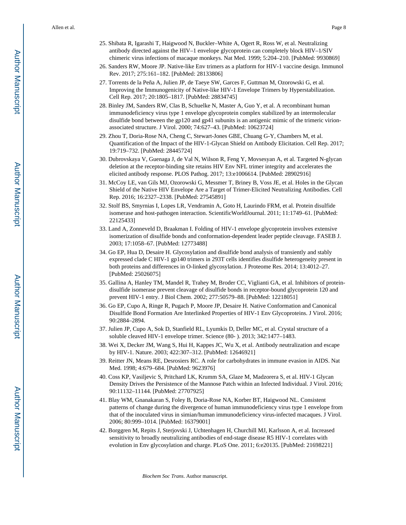- 25. Shibata R, Igarashi T, Haigwood N, Buckler–White A, Ogert R, Ross W, et al. Neutralizing antibody directed against the HIV–1 envelope glycoprotein can completely block HIV–1/SIV chimeric virus infections of macaque monkeys. Nat Med. 1999; 5:204–210. [PubMed: 9930869]
- 26. Sanders RW, Moore JP. Native-like Env trimers as a platform for HIV-1 vaccine design. Immunol Rev. 2017; 275:161–182. [PubMed: 28133806]
- 27. Torrents de la Peña A, Julien JP, de Taeye SW, Garces F, Guttman M, Ozorowski G, et al. Improving the Immunogenicity of Native-like HIV-1 Envelope Trimers by Hyperstabilization. Cell Rep. 2017; 20:1805–1817. [PubMed: 28834745]
- 28. Binley JM, Sanders RW, Clas B, Schuelke N, Master A, Guo Y, et al. A recombinant human immunodeficiency virus type 1 envelope glycoprotein complex stabilized by an intermolecular disulfide bond between the gp120 and gp41 subunits is an antigenic mimic of the trimeric virionassociated structure. J Virol. 2000; 74:627–43. [PubMed: 10623724]
- 29. Zhou T, Doria-Rose NA, Cheng C, Stewart-Jones GBE, Chuang G-Y, Chambers M, et al. Quantification of the Impact of the HIV-1-Glycan Shield on Antibody Elicitation. Cell Rep. 2017; 19:719–732. [PubMed: 28445724]
- 30. Dubrovskaya V, Guenaga J, de Val N, Wilson R, Feng Y, Movsesyan A, et al. Targeted N-glycan deletion at the receptor-binding site retains HIV Env NFL trimer integrity and accelerates the elicited antibody response. PLOS Pathog. 2017; 13:e1006614. [PubMed: 28902916]
- 31. McCoy LE, van Gils MJ, Ozorowski G, Messmer T, Briney B, Voss JE, et al. Holes in the Glycan Shield of the Native HIV Envelope Are a Target of Trimer-Elicited Neutralizing Antibodies. Cell Rep. 2016; 16:2327–2338. [PubMed: 27545891]
- 32. Stolf BS, Smyrnias I, Lopes LR, Vendramin A, Goto H, Laurindo FRM, et al. Protein disulfide isomerase and host-pathogen interaction. ScientificWorldJournal. 2011; 11:1749–61. [PubMed: 22125433]
- 33. Land A, Zonneveld D, Braakman I. Folding of HIV-1 envelope glycoprotein involves extensive isomerization of disulfide bonds and conformation-dependent leader peptide cleavage. FASEB J. 2003; 17:1058–67. [PubMed: 12773488]
- 34. Go EP, Hua D, Desaire H. Glycosylation and disulfide bond analysis of transiently and stably expressed clade C HIV-1 gp140 trimers in 293T cells identifies disulfide heterogeneity present in both proteins and differences in O-linked glycosylation. J Proteome Res. 2014; 13:4012–27. [PubMed: 25026075]
- 35. Gallina A, Hanley TM, Mandel R, Trahey M, Broder CC, Viglianti GA, et al. Inhibitors of proteindisulfide isomerase prevent cleavage of disulfide bonds in receptor-bound glycoprotein 120 and prevent HIV-1 entry. J Biol Chem. 2002; 277:50579–88. [PubMed: 12218051]
- 36. Go EP, Cupo A, Ringe R, Pugach P, Moore JP, Desaire H. Native Conformation and Canonical Disulfide Bond Formation Are Interlinked Properties of HIV-1 Env Glycoproteins. J Virol. 2016; 90:2884–2894.
- 37. Julien JP, Cupo A, Sok D, Stanfield RL, Lyumkis D, Deller MC, et al. Crystal structure of a soluble cleaved HIV-1 envelope trimer. Science (80- ). 2013; 342:1477–1483.
- 38. Wei X, Decker JM, Wang S, Hui H, Kappes JC, Wu X, et al. Antibody neutralization and escape by HIV-1. Nature. 2003; 422:307–312. [PubMed: 12646921]
- 39. Reitter JN, Means RE, Desrosiers RC. A role for carbohydrates in immune evasion in AIDS. Nat Med. 1998; 4:679–684. [PubMed: 9623976]
- 40. Coss KP, Vasiljevic S, Pritchard LK, Krumm SA, Glaze M, Madzorera S, et al. HIV-1 Glycan Density Drives the Persistence of the Mannose Patch within an Infected Individual. J Virol. 2016; 90:11132–11144. [PubMed: 27707925]
- 41. Blay WM, Gnanakaran S, Foley B, Doria-Rose NA, Korber BT, Haigwood NL. Consistent patterns of change during the divergence of human immunodeficiency virus type 1 envelope from that of the inoculated virus in simian/human immunodeficiency virus-infected macaques. J Virol. 2006; 80:999–1014. [PubMed: 16379001]
- 42. Borggren M, Repits J, Sterjovski J, Uchtenhagen H, Churchill MJ, Karlsson A, et al. Increased sensitivity to broadly neutralizing antibodies of end-stage disease R5 HIV-1 correlates with evolution in Env glycosylation and charge. PLoS One. 2011; 6:e20135. [PubMed: 21698221]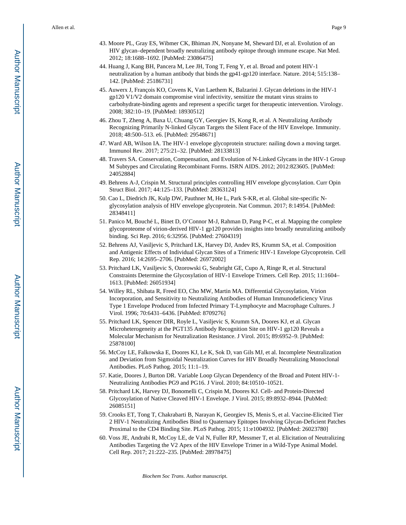- 43. Moore PL, Gray ES, Wibmer CK, Bhiman JN, Nonyane M, Sheward DJ, et al. Evolution of an HIV glycan–dependent broadly neutralizing antibody epitope through immune escape. Nat Med. 2012; 18:1688–1692. [PubMed: 23086475]
- 44. Huang J, Kang BH, Pancera M, Lee JH, Tong T, Feng Y, et al. Broad and potent HIV-1 neutralization by a human antibody that binds the gp41-gp120 interface. Nature. 2014; 515:138– 142. [PubMed: 25186731]
- 45. Auwerx J, François KO, Covens K, Van Laethem K, Balzarini J. Glycan deletions in the HIV-1 gp120 V1/V2 domain compromise viral infectivity, sensitize the mutant virus strains to carbohydrate-binding agents and represent a specific target for therapeutic intervention. Virology. 2008; 382:10–19. [PubMed: 18930512]
- 46. Zhou T, Zheng A, Baxa U, Chuang GY, Georgiev IS, Kong R, et al. A Neutralizing Antibody Recognizing Primarily N-linked Glycan Targets the Silent Face of the HIV Envelope. Immunity. 2018; 48:500–513. e6. [PubMed: 29548671]
- 47. Ward AB, Wilson IA. The HIV-1 envelope glycoprotein structure: nailing down a moving target. Immunol Rev. 2017; 275:21–32. [PubMed: 28133813]
- 48. Travers SA. Conservation, Compensation, and Evolution of N-Linked Glycans in the HIV-1 Group M Subtypes and Circulating Recombinant Forms. ISRN AIDS. 2012; 2012:823605. [PubMed: 24052884]
- 49. Behrens A-J, Crispin M. Structural principles controlling HIV envelope glycosylation. Curr Opin Struct Biol. 2017; 44:125–133. [PubMed: 28363124]
- 50. Cao L, Diedrich JK, Kulp DW, Pauthner M, He L, Park S-KR, et al. Global site-specific Nglycosylation analysis of HIV envelope glycoprotein. Nat Commun. 2017; 8:14954. [PubMed: 28348411]
- 51. Panico M, Bouché L, Binet D, O'Connor M-J, Rahman D, Pang P-C, et al. Mapping the complete glycoproteome of virion-derived HIV-1 gp120 provides insights into broadly neutralizing antibody binding. Sci Rep. 2016; 6:32956. [PubMed: 27604319]
- 52. Behrens AJ, Vasiljevic S, Pritchard LK, Harvey DJ, Andev RS, Krumm SA, et al. Composition and Antigenic Effects of Individual Glycan Sites of a Trimeric HIV-1 Envelope Glycoprotein. Cell Rep. 2016; 14:2695–2706. [PubMed: 26972002]
- 53. Pritchard LK, Vasiljevic S, Ozorowski G, Seabright GE, Cupo A, Ringe R, et al. Structural Constraints Determine the Glycosylation of HIV-1 Envelope Trimers. Cell Rep. 2015; 11:1604– 1613. [PubMed: 26051934]
- 54. Willey RL, Shibata R, Freed EO, Cho MW, Martin MA. Differential Glycosylation, Virion Incorporation, and Sensitivity to Neutralizing Antibodies of Human Immunodeficiency Virus Type 1 Envelope Produced from Infected Primary T-Lymphocyte and Macrophage Cultures. J Virol. 1996; 70:6431–6436. [PubMed: 8709276]
- 55. Pritchard LK, Spencer DIR, Royle L, Vasiljevic S, Krumm SA, Doores KJ, et al. Glycan Microheterogeneity at the PGT135 Antibody Recognition Site on HIV-1 gp120 Reveals a Molecular Mechanism for Neutralization Resistance. J Virol. 2015; 89:6952–9. [PubMed: 25878100]
- 56. McCoy LE, Falkowska E, Doores KJ, Le K, Sok D, van Gils MJ, et al. Incomplete Neutralization and Deviation from Sigmoidal Neutralization Curves for HIV Broadly Neutralizing Monoclonal Antibodies. PLoS Pathog. 2015; 11:1–19.
- 57. Katie, Doores J, Burton DR. Variable Loop Glycan Dependency of the Broad and Potent HIV-1- Neutralizing Antibodies PG9 and PG16. J Virol. 2010; 84:10510–10521.
- 58. Pritchard LK, Harvey DJ, Bonomelli C, Crispin M, Doores KJ. Cell- and Protein-Directed Glycosylation of Native Cleaved HIV-1 Envelope. J Virol. 2015; 89:8932–8944. [PubMed: 26085151]
- 59. Crooks ET, Tong T, Chakrabarti B, Narayan K, Georgiev IS, Menis S, et al. Vaccine-Elicited Tier 2 HIV-1 Neutralizing Antibodies Bind to Quaternary Epitopes Involving Glycan-Deficient Patches Proximal to the CD4 Binding Site. PLoS Pathog. 2015; 11:e1004932. [PubMed: 26023780]
- 60. Voss JE, Andrabi R, McCoy LE, de Val N, Fuller RP, Messmer T, et al. Elicitation of Neutralizing Antibodies Targeting the V2 Apex of the HIV Envelope Trimer in a Wild-Type Animal Model. Cell Rep. 2017; 21:222–235. [PubMed: 28978475]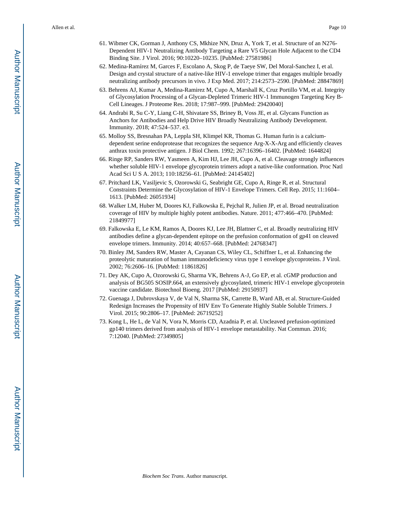- 61. Wibmer CK, Gorman J, Anthony CS, Mkhize NN, Druz A, York T, et al. Structure of an N276- Dependent HIV-1 Neutralizing Antibody Targeting a Rare V5 Glycan Hole Adjacent to the CD4 Binding Site. J Virol. 2016; 90:10220–10235. [PubMed: 27581986]
- 62. Medina-Ramírez M, Garces F, Escolano A, Skog P, de Taeye SW, Del Moral-Sanchez I, et al. Design and crystal structure of a native-like HIV-1 envelope trimer that engages multiple broadly neutralizing antibody precursors in vivo. J Exp Med. 2017; 214:2573–2590. [PubMed: 28847869]
- 63. Behrens AJ, Kumar A, Medina-Ramirez M, Cupo A, Marshall K, Cruz Portillo VM, et al. Integrity of Glycosylation Processing of a Glycan-Depleted Trimeric HIV-1 Immunogen Targeting Key B-Cell Lineages. J Proteome Res. 2018; 17:987–999. [PubMed: 29420040]
- 64. Andrabi R, Su C-Y, Liang C-H, Shivatare SS, Briney B, Voss JE, et al. Glycans Function as Anchors for Antibodies and Help Drive HIV Broadly Neutralizing Antibody Development. Immunity. 2018; 47:524–537. e3.
- 65. Molloy SS, Bresnahan PA, Leppla SH, Klimpel KR, Thomas G. Human furin is a calciumdependent serine endoprotease that recognizes the sequence Arg-X-X-Arg and efficiently cleaves anthrax toxin protective antigen. J Biol Chem. 1992; 267:16396–16402. [PubMed: 1644824]
- 66. Ringe RP, Sanders RW, Yasmeen A, Kim HJ, Lee JH, Cupo A, et al. Cleavage strongly influences whether soluble HIV-1 envelope glycoprotein trimers adopt a native-like conformation. Proc Natl Acad Sci U S A. 2013; 110:18256–61. [PubMed: 24145402]
- 67. Pritchard LK, Vasiljevic S, Ozorowski G, Seabright GE, Cupo A, Ringe R, et al. Structural Constraints Determine the Glycosylation of HIV-1 Envelope Trimers. Cell Rep. 2015; 11:1604– 1613. [PubMed: 26051934]
- 68. Walker LM, Huber M, Doores KJ, Falkowska E, Pejchal R, Julien JP, et al. Broad neutralization coverage of HIV by multiple highly potent antibodies. Nature. 2011; 477:466–470. [PubMed: 21849977]
- 69. Falkowska E, Le KM, Ramos A, Doores KJ, Lee JH, Blattner C, et al. Broadly neutralizing HIV antibodies define a glycan-dependent epitope on the prefusion conformation of gp41 on cleaved envelope trimers. Immunity. 2014; 40:657–668. [PubMed: 24768347]
- 70. Binley JM, Sanders RW, Master A, Cayanan CS, Wiley CL, Schiffner L, et al. Enhancing the proteolytic maturation of human immunodeficiency virus type 1 envelope glycoproteins. J Virol. 2002; 76:2606–16. [PubMed: 11861826]
- 71. Dey AK, Cupo A, Ozorowski G, Sharma VK, Behrens A-J, Go EP, et al. cGMP production and analysis of BG505 SOSIP.664, an extensively glycosylated, trimeric HIV-1 envelope glycoprotein vaccine candidate. Biotechnol Bioeng. 2017 [PubMed: 29150937]
- 72. Guenaga J, Dubrovskaya V, de Val N, Sharma SK, Carrette B, Ward AB, et al. Structure-Guided Redesign Increases the Propensity of HIV Env To Generate Highly Stable Soluble Trimers. J Virol. 2015; 90:2806–17. [PubMed: 26719252]
- 73. Kong L, He L, de Val N, Vora N, Morris CD, Azadnia P, et al. Uncleaved prefusion-optimized gp140 trimers derived from analysis of HIV-1 envelope metastability. Nat Commun. 2016; 7:12040. [PubMed: 27349805]